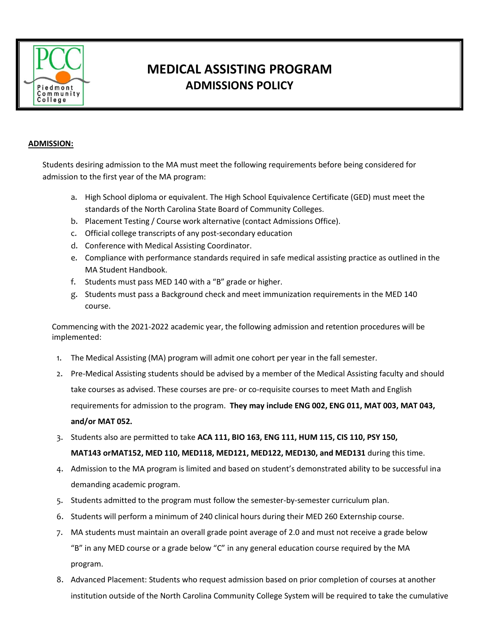

## **MEDICAL ASSISTING PROGRAM ADMISSIONS POLICY**

## **ADMISSION:**

Students desiring admission to the MA must meet the following requirements before being considered for admission to the first year of the MA program:

- a. High School diploma or equivalent. The High School Equivalence Certificate (GED) must meet the standards of the North Carolina State Board of Community Colleges.
- b. Placement Testing / Course work alternative (contact Admissions Office).
- c. Official college transcripts of any post-secondary education
- d. Conference with Medical Assisting Coordinator.
- e. Compliance with performance standards required in safe medical assisting practice as outlined in the MA Student Handbook.
- f. Students must pass MED 140 with a "B" grade or higher.
- g. Students must pass a Background check and meet immunization requirements in the MED 140 course.

Commencing with the 2021-2022 academic year, the following admission and retention procedures will be implemented:

- 1. The Medical Assisting (MA) program will admit one cohort per year in the fall semester.
- 2. Pre-Medical Assisting students should be advised by a member of the Medical Assisting faculty and should take courses as advised. These courses are pre- or co-requisite courses to meet Math and English requirements for admission to the program. **They may include ENG 002, ENG 011, MAT 003, MAT 043, and/or MAT 052.**
- 3. Students also are permitted to take **ACA 111, BIO 163, ENG 111, HUM 115, CIS 110, PSY 150,**

**MAT143 orMAT152, MED 110, MED118, MED121, MED122, MED130, and MED131** during this time.

- 4. Admission to the MA program is limited and based on student's demonstrated ability to be successful ina demanding academic program.
- 5. Students admitted to the program must follow the semester-by-semester curriculum plan.
- 6. Students will perform a minimum of 240 clinical hours during their MED 260 Externship course.
- 7. MA students must maintain an overall grade point average of 2.0 and must not receive a grade below "B" in any MED course or a grade below "C" in any general education course required by the MA program.
- 8. Advanced Placement: Students who request admission based on prior completion of courses at another institution outside of the North Carolina Community College System will be required to take the cumulative